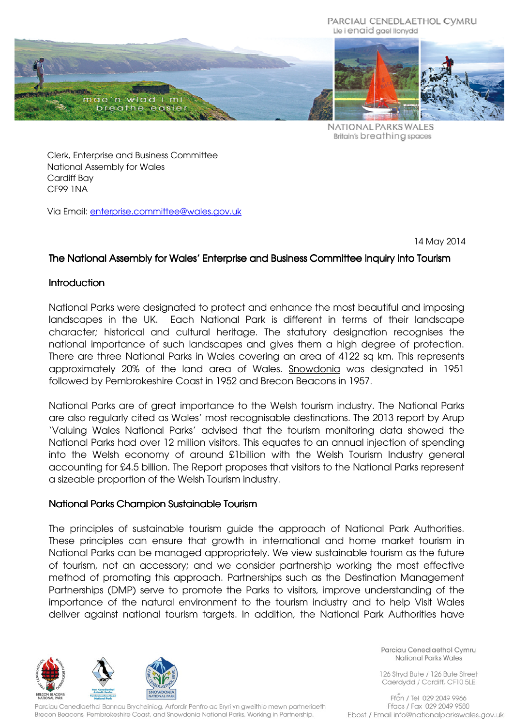#### PARCIAU CENEDLAETHOL CYMRU Lle i enaid gael llonydd



NATIONAL PARKS WALES Britain's breathing spaces

Clerk, Enterprise and Business Committee National Assembly for Wales Cardiff Bay CF99 1NA

Via Email: enterprise.committee@wales.gov.uk

14 May 2014

# The National Assembly for Wales' Enterprise and Business Committee Inquiry into Tourism

### **Introduction**

National Parks were designated to protect and enhance the most beautiful and imposing landscapes in the UK. Each National Park is different in terms of their landscape character; historical and cultural heritage. The statutory designation recognises the national importance of such landscapes and gives them a high degree of protection. There are three National Parks in Wales covering an area of 4122 sq km. This represents approximately 20% of the land area of Wales. Snowdonia was designated in 1951 followed by Pembrokeshire Coast in 1952 and Brecon Beacons in 1957.

National Parks are of great importance to the Welsh tourism industry. The National Parks are also regularly cited as Wales' most recognisable destinations. The 2013 report by Arup 'Valuing Wales National Parks' advised that the tourism monitoring data showed the National Parks had over 12 million visitors. This equates to an annual injection of spending into the Welsh economy of around £1billion with the Welsh Tourism Industry general accounting for £4.5 billion. The Report proposes that visitors to the National Parks represent a sizeable proportion of the Welsh Tourism industry.

### National Parks Champion Sustainable Tourism

The principles of sustainable tourism guide the approach of National Park Authorities. These principles can ensure that growth in international and home market tourism in National Parks can be managed appropriately. We view sustainable tourism as the future of tourism, not an accessory; and we consider partnership working the most effective method of promoting this approach. Partnerships such as the Destination Management Partnerships (DMP) serve to promote the Parks to visitors, improve understanding of the importance of the natural environment to the tourism industry and to help Visit Wales deliver against national tourism targets. In addition, the National Park Authorities have



Parciau Cenedlaethol Bannau Brycheiniog, Arfordir Penfro ac Eryri yn gweithio mewn partneriaeth Brecon Beacons, Pembrokeshire Coast, and Snowdonia National Parks, Working in Partnership.

Parciau Cenedlaethol Cymru **National Parks Wales** 

126 Stryd Bute / 126 Bute Street Caerdydd / Cardiff, CF10 5LE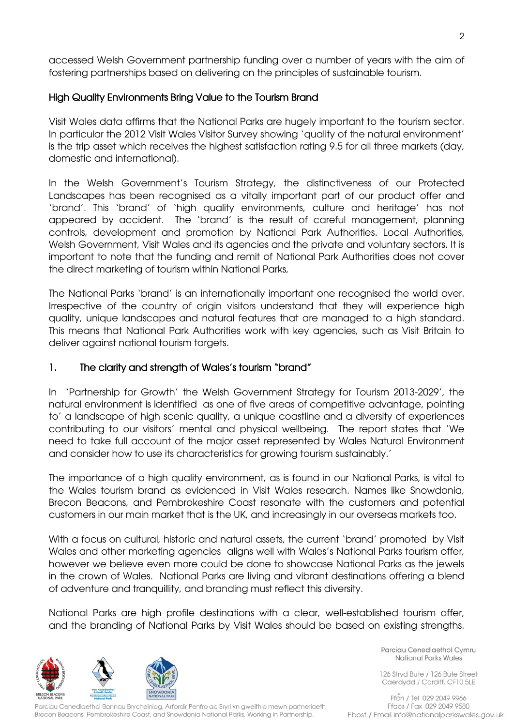accessed Welsh Government partnership funding over a number of years with the aim of fostering partnerships based on delivering on the principles of sustainable tourism.

### High Quality Environments Bring Value to the Tourism Brand m

Visit Wales data affirms that the National Parks are hugely important to the tourism sector. In particular the 2012 Visit Wales Visitor Survey showing 'quality of the natural environment' is the trip asset which receives the highest satisfaction rating 9.5 for all three markets (day, domestic and international).

In the Welsh Government's Tourism Strategy, the distinctiveness of our Protected Landscapes has been recognised as a vitally important part of our product offer and 'brand'. This 'brand' of 'high quality environments, culture and heritage' has not appeared by accident. The 'brand' is the result of careful management, planning controls, development and promotion by National Park Authorities. Local Authorities, Welsh Government, Visit Wales and its agencies and the private and voluntary sectors. It is important to note that the funding and remit of National Park Authorities does not cover the direct marketing of tourism within National Parks,

The National Parks 'brand' is an internationally important one recognised the world over. Irrespective of the country of origin visitors understand that they will experience high quality, unique landscapes and natural features that are managed to a high standard. This means that National Park Authorities work with key agencies, such as Visit Britain to deliver against national tourism targets.

#### 1. The clarity and strength of Wales's tourism "brand"

In 'Partnership for Growth' the Welsh Government Strategy for Tourism 2013-2029', the natural environment is identified as one of five areas of competitive advantage, pointing to' a landscape of high scenic quality, a unique coastline and a diversity of experiences contributing to our visitors' mental and physical wellbeing. The report states that 'We need to take full account of the major asset represented by Wales Natural Environment and consider how to use its characteristics for growing tourism sustainably.'

The importance of a high quality environment, as is found in our National Parks, is vital to the Wales tourism brand as evidenced in Visit Wales research. Names like Snowdonia, Brecon Beacons, and Pembrokeshire Coast resonate with the customers and potential customers in our main market that is the UK, and increasingly in our overseas markets too.

With a focus on cultural, historic and natural assets, the current 'brand' promoted by Visit Wales and other marketing agencies aligns well with Wales's National Parks tourism offer, however we believe even more could be done to showcase National Parks as the jewels in the crown of Wales. National Parks are living and vibrant destinations offering a blend of adventure and tranquillity, and branding must reflect this diversity.

National Parks are high profile destinations with a clear, well-established tourism offer, and the branding of National Parks by Visit Wales should be based on existing strengths.



arciau Cenedlaethol Bannau Brycheiniog, Arfordir Penfro ac Eryri yn gweithio mewn partneriaeth Brecon Beacons, Pembrokeshire Coast, and Snowdonia National Parks, Working in Partnership.

Parciau Cenedlaethol Cymru **National Parks Wales** 

126 Stryd Bute / 126 Bute Street Caerdydd / Cardiff, CF10 5LE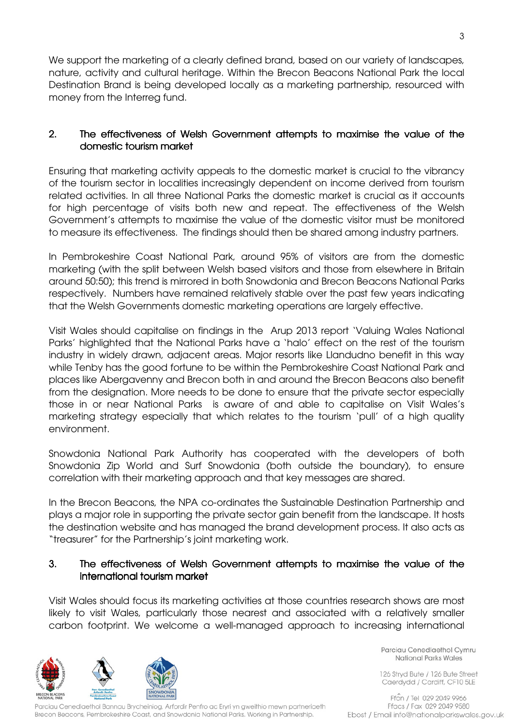We support the marketing of a clearly defined brand, based on our variety of landscapes, nature, activity and cultural heritage. Within the Brecon Beacons National Park the local Destination Brand is being developed locally as a marketing partnership, resourced with money from the Interreg fund.

# 2. The effectiveness of Welsh Government attempts to maximise the value of the domestic tourism market

Ensuring that marketing activity appeals to the domestic market is crucial to the vibrancy of the tourism sector in localities increasingly dependent on income derived from tourism related activities. In all three National Parks the domestic market is crucial as it accounts for high percentage of visits both new and repeat. The effectiveness of the Welsh Government's attempts to maximise the value of the domestic visitor must be monitored to measure its effectiveness. The findings should then be shared among industry partners.

In Pembrokeshire Coast National Park, around 95% of visitors are from the domestic marketing (with the split between Welsh based visitors and those from elsewhere in Britain around 50:50); this trend is mirrored in both Snowdonia and Brecon Beacons National Parks respectively. Numbers have remained relatively stable over the past few years indicating that the Welsh Governments domestic marketing operations are largely effective.

Visit Wales should capitalise on findings in the Arup 2013 report 'Valuing Wales National Parks' highlighted that the National Parks have a 'halo' effect on the rest of the tourism industry in widely drawn, adjacent areas. Major resorts like Llandudno benefit in this way while Tenby has the good fortune to be within the Pembrokeshire Coast National Park and places like Abergavenny and Brecon both in and around the Brecon Beacons also benefit from the designation. More needs to be done to ensure that the private sector especially those in or near National Parks is aware of and able to capitalise on Visit Wales's marketing strategy especially that which relates to the tourism 'pull' of a high quality environment.

Snowdonia National Park Authority has cooperated with the developers of both Snowdonia Zip World and Surf Snowdonia (both outside the boundary), to ensure correlation with their marketing approach and that key messages are shared.

In the Brecon Beacons, the NPA co-ordinates the Sustainable Destination Partnership and plays a major role in supporting the private sector gain benefit from the landscape. It hosts the destination website and has managed the brand development process. It also acts as "treasurer" for the Partnership's joint marketing work.

### 3. The effectiveness of Welsh Government attempts to maximise the value of the international tourism market

Visit Wales should focus its marketing activities at those countries research shows are most likely to visit Wales, particularly those nearest and associated with a relatively smaller carbon footprint. We welcome a well-managed approach to increasing international



Parciau Cenedlaethol Cymru **National Parks Wales** 

126 Stryd Bute / 126 Bute Street Caerdydd / Cardiff, CF10 5LE

arciau Cenedlaethol Bannau Brycheiniog, Arfordir Penfro ac Eryri yn gweithio mewn partneriaeth Brecon Beacons, Pembrokeshire Coast, and Snowdonia National Parks, Working in Partnership.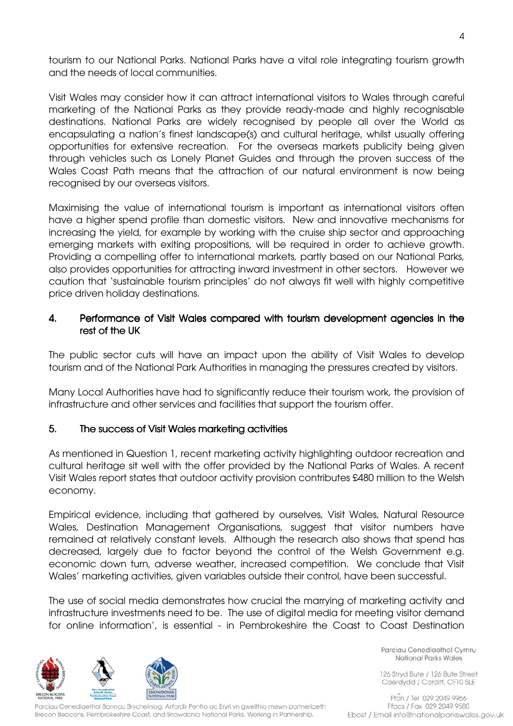tourism to our National Parks. National Parks have a vital role integrating tourism growth and the needs of local communities.

Visit Wales may consider how it can attract international visitors to Wales through careful marketing of the National Parks as they provide ready-made and highly recognisable destinations. National Parks are widely recognised by people all over the World as encapsulating a nation's finest landscape(s) and cultural heritage, whilst usually offering opportunities for extensive recreation. For the overseas markets publicity being given through vehicles such as Lonely Planet Guides and through the proven success of the Wales Coast Path means that the attraction of our natural environment is now being recognised by our overseas visitors.

Maximising the value of international tourism is important as international visitors often have a higher spend profile than domestic visitors. New and innovative mechanisms for increasing the yield, for example by working with the cruise ship sector and approaching emerging markets with exiting propositions, will be required in order to achieve growth. Providing a compelling offer to international markets, partly based on our National Parks, also provides opportunities for attracting inward investment in other sectors. However we caution that 'sustainable tourism principles' do not always fit well with highly competitive price driven holiday destinations.

### 4. Performance of Visit Wales compared with tourism development agencies in the rest of the UK

The public sector cuts will have an impact upon the ability of Visit Wales to develop tourism and of the National Park Authorities in managing the pressures created by visitors.

Many Local Authorities have had to significantly reduce their tourism work, the provision of infrastructure and other services and facilities that support the tourism offer.

### 5. The success of Visit Wales marketing activities

As mentioned in Question 1, recent marketing activity highlighting outdoor recreation and cultural heritage sit well with the offer provided by the National Parks of Wales. A recent Visit Wales report states that outdoor activity provision contributes £480 million to the Welsh economy.

Empirical evidence, including that gathered by ourselves, Visit Wales, Natural Resource Wales, Destination Management Organisations, suggest that visitor numbers have remained at relatively constant levels. Although the research also shows that spend has decreased, largely due to factor beyond the control of the Welsh Government e.g. economic down turn, adverse weather, increased competition. We conclude that Visit Wales' marketing activities, given variables outside their control, have been successful.

The use of social media demonstrates how crucial the marrying of marketing activity and infrastructure investments need to be. The use of digital media for meeting visitor demand for online information', is essential - in Pembrokeshire the Coast to Coast Destination



Parciau Cenedlaethol Bannau Brycheiniog, Arfordir Penfro ac Eryri yn gweithio mewn partneriaeth Brecon Beacons, Pembrokeshire Coast, and Snowdonia National Parks, Working in Partnership.

Parciau Cenedlaethol Cymru **National Parks Wales** 

126 Stryd Bute / 126 Bute Street Caerdydd / Cardiff, CF10 5LE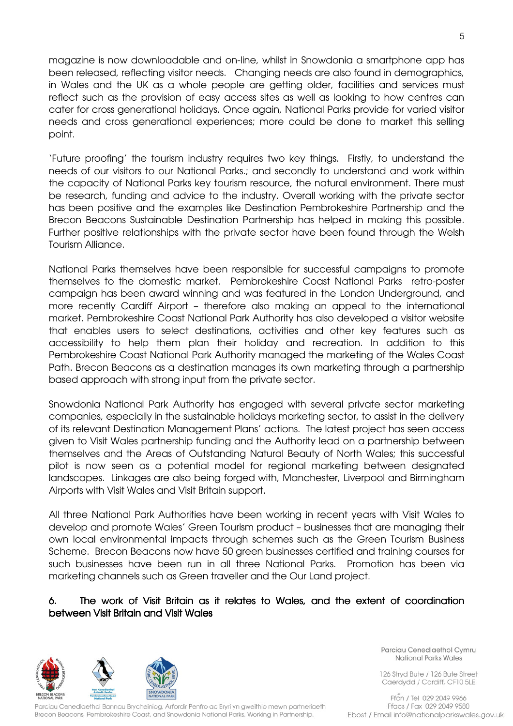magazine is now downloadable and on-line, whilst in Snowdonia a smartphone app has been released, reflecting visitor needs. Changing needs are also found in demographics, in Wales and the UK as a whole people are getting older, facilities and services must reflect such as the provision of easy access sites as well as looking to how centres can cater for cross generational holidays. Once again, National Parks provide for varied visitor needs and cross generational experiences; more could be done to market this selling point.

'Future proofing' the tourism industry requires two key things. Firstly, to understand the needs of our visitors to our National Parks.; and secondly to understand and work within the capacity of National Parks key tourism resource, the natural environment. There must be research, funding and advice to the industry. Overall working with the private sector has been positive and the examples like Destination Pembrokeshire Partnership and the Brecon Beacons Sustainable Destination Partnership has helped in making this possible. Further positive relationships with the private sector have been found through the Welsh Tourism Alliance.

National Parks themselves have been responsible for successful campaigns to promote themselves to the domestic market. Pembrokeshire Coast National Parks retro-poster campaign has been award winning and was featured in the London Underground, and more recently Cardiff Airport – therefore also making an appeal to the international market. Pembrokeshire Coast National Park Authority has also developed a visitor website that enables users to select destinations, activities and other key features such as accessibility to help them plan their holiday and recreation. In addition to this Pembrokeshire Coast National Park Authority managed the marketing of the Wales Coast Path. Brecon Beacons as a destination manages its own marketing through a partnership based approach with strong input from the private sector.

Snowdonia National Park Authority has engaged with several private sector marketing companies, especially in the sustainable holidays marketing sector, to assist in the delivery of its relevant Destination Management Plans' actions. The latest project has seen access given to Visit Wales partnership funding and the Authority lead on a partnership between themselves and the Areas of Outstanding Natural Beauty of North Wales; this successful pilot is now seen as a potential model for regional marketing between designated landscapes. Linkages are also being forged with, Manchester, Liverpool and Birmingham Airports with Visit Wales and Visit Britain support.

All three National Park Authorities have been working in recent years with Visit Wales to develop and promote Wales' Green Tourism product – businesses that are managing their own local environmental impacts through schemes such as the Green Tourism Business Scheme. Brecon Beacons now have 50 green businesses certified and training courses for such businesses have been run in all three National Parks. Promotion has been via marketing channels such as Green traveller and the Our Land project.

# 6. The work of Visit Britain as it relates to Wales, and the extent of coordination between Visit Britain and Visit Wales



Parciau Cenedlaethol Bannau Brycheiniog, Arfordir Penfro ac Eryri yn gweithio mewn partneriaeth Brecon Beacons, Pembrokeshire Coast, and Snowdonia National Parks, Working in Partnership.

Parciau Cenedlaethol Cymru **National Parks Wales** 

126 Stryd Bute / 126 Bute Street Caerdydd / Cardiff, CF10 5LE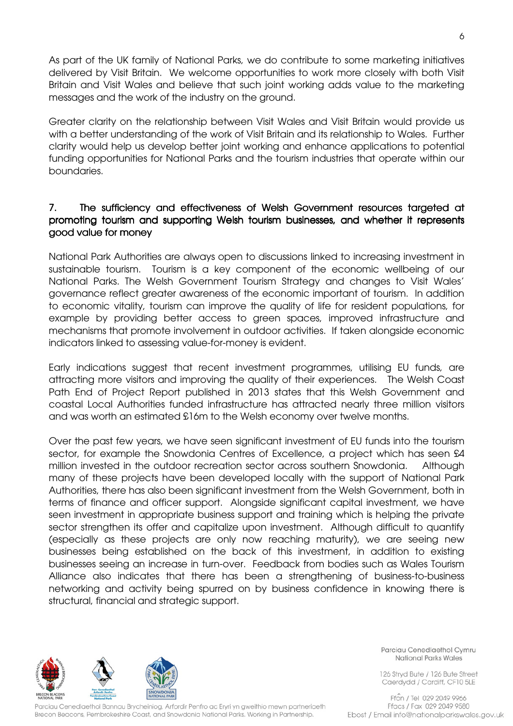As part of the UK family of National Parks, we do contribute to some marketing initiatives delivered by Visit Britain. We welcome opportunities to work more closely with both Visit Britain and Visit Wales and believe that such joint working adds value to the marketing messages and the work of the industry on the ground.

Greater clarity on the relationship between Visit Wales and Visit Britain would provide us with a better understanding of the work of Visit Britain and its relationship to Wales. Further clarity would help us develop better joint working and enhance applications to potential funding opportunities for National Parks and the tourism industries that operate within our boundaries.

### 7. The sufficiency and effectiveness of Welsh Government resources targeted at promoting tourism and supporting Welsh tourism businesses, and whether it represents good value for money

National Park Authorities are always open to discussions linked to increasing investment in sustainable tourism. Tourism is a key component of the economic wellbeing of our National Parks. The Welsh Government Tourism Strategy and changes to Visit Wales' governance reflect greater awareness of the economic important of tourism. In addition to economic vitality, tourism can improve the quality of life for resident populations, for example by providing better access to green spaces, improved infrastructure and mechanisms that promote involvement in outdoor activities. If taken alongside economic indicators linked to assessing value-for-money is evident.

Early indications suggest that recent investment programmes, utilising EU funds, are attracting more visitors and improving the quality of their experiences. The Welsh Coast Path End of Project Report published in 2013 states that this Welsh Government and coastal Local Authorities funded infrastructure has attracted nearly three million visitors and was worth an estimated £16m to the Welsh economy over twelve months.

Over the past few years, we have seen significant investment of EU funds into the tourism sector, for example the Snowdonia Centres of Excellence, a project which has seen £4 million invested in the outdoor recreation sector across southern Snowdonia. Although many of these projects have been developed locally with the support of National Park Authorities, there has also been significant investment from the Welsh Government, both in terms of finance and officer support. Alongside significant capital investment, we have seen investment in appropriate business support and training which is helping the private sector strengthen its offer and capitalize upon investment. Although difficult to quantify (especially as these projects are only now reaching maturity), we are seeing new businesses being established on the back of this investment, in addition to existing businesses seeing an increase in turn-over. Feedback from bodies such as Wales Tourism Alliance also indicates that there has been a strengthening of business-to-business networking and activity being spurred on by business confidence in knowing there is structural, financial and strategic support.



Parciau Cenedlaethol Bannau Brycheiniog, Arfordir Penfro ac Eryri yn gweithio mewn partneriaeth Brecon Beacons, Pembrokeshire Coast, and Snowdonia National Parks, Working in Partnership.

Parciau Cenedlaethol Cymru **National Parks Wales** 

126 Stryd Bute / 126 Bute Street Caerdydd / Cardiff, CF10 5LE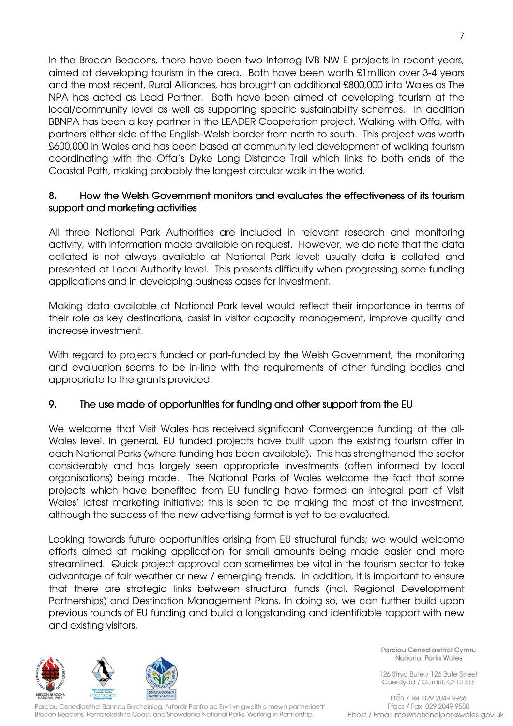In the Brecon Beacons, there have been two Interreg IVB NW E projects in recent years, aimed at developing tourism in the area. Both have been worth £1million over 3-4 years and the most recent, Rural Alliances, has brought an additional £800,000 into Wales as The NPA has acted as Lead Partner. Both have been aimed at developing tourism at the local/community level as well as supporting specific sustainability schemes. In addition BBNPA has been a key partner in the LEADER Cooperation project, Walking with Offa, with partners either side of the English-Welsh border from north to south. This project was worth £600,000 in Wales and has been based at community led development of walking tourism coordinating with the Offa's Dyke Long Distance Trail which links to both ends of the Coastal Path, making probably the longest circular walk in the world.

# 8. How the Welsh Government monitors and evaluates the effectiveness of its tourism support and marketing activities

All three National Park Authorities are included in relevant research and monitoring activity, with information made available on request. However, we do note that the data collated is not always available at National Park level; usually data is collated and presented at Local Authority level. This presents difficulty when progressing some funding applications and in developing business cases for investment.

Making data available at National Park level would reflect their importance in terms of their role as key destinations, assist in visitor capacity management, improve quality and increase investment.

With regard to projects funded or part-funded by the Welsh Government, the monitoring and evaluation seems to be in-line with the requirements of other funding bodies and appropriate to the grants provided.

# 9. The use made of opportunities for funding and other support from the EU

We welcome that Visit Wales has received significant Convergence funding at the all-Wales level. In general, EU funded projects have built upon the existing tourism offer in each National Parks (where funding has been available). This has strengthened the sector considerably and has largely seen appropriate investments (often informed by local organisations) being made. The National Parks of Wales welcome the fact that some projects which have benefited from EU funding have formed an integral part of Visit Wales' latest marketing initiative; this is seen to be making the most of the investment, although the success of the new advertising format is yet to be evaluated.

Looking towards future opportunities arising from EU structural funds; we would welcome efforts aimed at making application for small amounts being made easier and more streamlined. Quick project approval can sometimes be vital in the tourism sector to take advantage of fair weather or new / emerging trends. In addition, it is important to ensure that there are strategic links between structural funds (incl. Regional Development Partnerships) and Destination Management Plans. In doing so, we can further build upon previous rounds of EU funding and build a longstanding and identifiable rapport with new and existing visitors.



Parciau Cenedlaethol Bannau Brycheiniog, Arfordir Penfro ac Eryri yn gweithio mewn partneriaeth Brecon Beacons, Pembrokeshire Coast, and Snowdonia National Parks, Working in Partnership.

Parciau Cenedlaethol Cymru **National Parks Wales** 

126 Stryd Bute / 126 Bute Street Caerdydd / Cardiff, CF10 5LE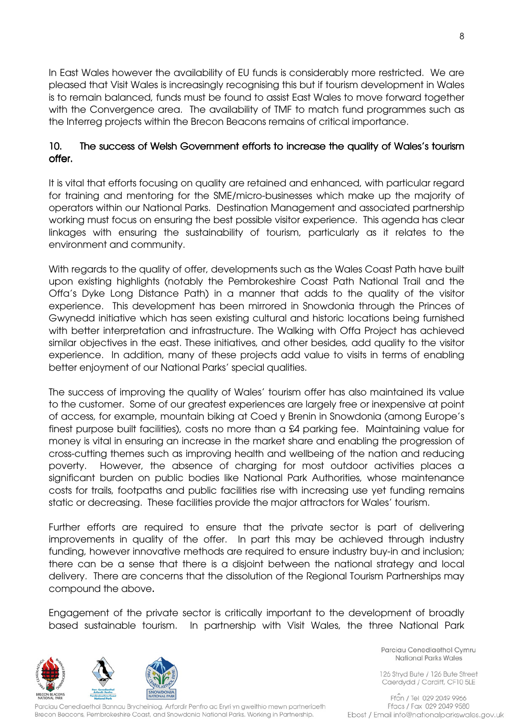In East Wales however the availability of EU funds is considerably more restricted. We are pleased that Visit Wales is increasingly recognising this but if tourism development in Wales is to remain balanced, funds must be found to assist East Wales to move forward together with the Convergence area. The availability of TMF to match fund programmes such as the Interreg projects within the Brecon Beacons remains of critical importance.

# 10. The success of Welsh Government efforts to increase the quality of Wales's tourism offer.

It is vital that efforts focusing on quality are retained and enhanced, with particular regard for training and mentoring for the SME/micro-businesses which make up the majority of operators within our National Parks. Destination Management and associated partnership working must focus on ensuring the best possible visitor experience. This agenda has clear linkages with ensuring the sustainability of tourism, particularly as it relates to the environment and community.

With regards to the quality of offer, developments such as the Wales Coast Path have built upon existing highlights (notably the Pembrokeshire Coast Path National Trail and the Offa's Dyke Long Distance Path) in a manner that adds to the quality of the visitor experience. This development has been mirrored in Snowdonia through the Princes of Gwynedd initiative which has seen existing cultural and historic locations being furnished with better interpretation and infrastructure. The Walking with Offa Project has achieved similar objectives in the east. These initiatives, and other besides, add quality to the visitor experience. In addition, many of these projects add value to visits in terms of enabling better enjoyment of our National Parks' special qualities.

The success of improving the quality of Wales' tourism offer has also maintained its value to the customer. Some of our greatest experiences are largely free or inexpensive at point of access, for example, mountain biking at Coed y Brenin in Snowdonia (among Europe's finest purpose built facilities), costs no more than a £4 parking fee. Maintaining value for money is vital in ensuring an increase in the market share and enabling the progression of cross-cutting themes such as improving health and wellbeing of the nation and reducing poverty. However, the absence of charging for most outdoor activities places a significant burden on public bodies like National Park Authorities, whose maintenance costs for trails, footpaths and public facilities rise with increasing use yet funding remains static or decreasing. These facilities provide the major attractors for Wales' tourism.

Further efforts are required to ensure that the private sector is part of delivering improvements in quality of the offer. In part this may be achieved through industry funding, however innovative methods are required to ensure industry buy-in and inclusion; there can be a sense that there is a disjoint between the national strategy and local delivery. There are concerns that the dissolution of the Regional Tourism Partnerships may compound the above.

Engagement of the private sector is critically important to the development of broadly based sustainable tourism. In partnership with Visit Wales, the three National Park



Parciau Cenedlaethol Cymru **National Parks Wales** 

126 Stryd Bute / 126 Bute Street Caerdydd / Cardiff, CF10 5LE

Parciau Cenedlaethol Bannau Brycheiniog, Arfordir Penfro ac Eryri yn gweithio mewn partneriaeth Brecon Beacons, Pembrokeshire Coast, and Snowdonia National Parks, Working in Partnership.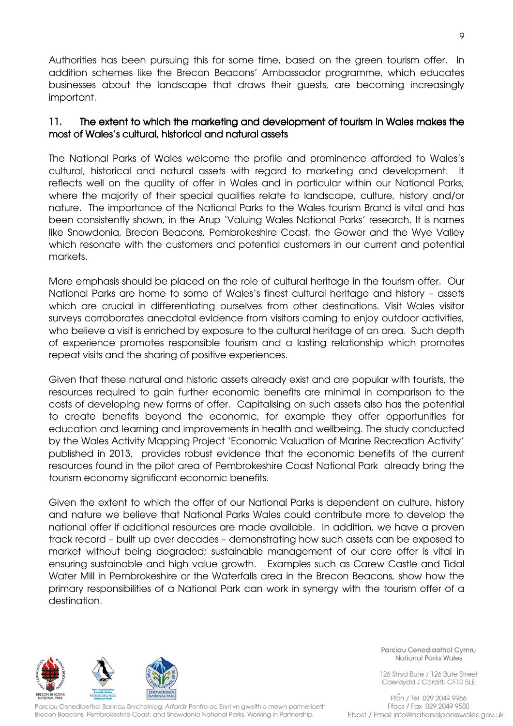Authorities has been pursuing this for some time, based on the green tourism offer. In addition schemes like the Brecon Beacons' Ambassador programme, which educates businesses about the landscape that draws their guests, are becoming increasingly important.

### 11. The extent to which the marketing and development of tourism in Wales makes the most of Wales's cultural, historical and natural assets

The National Parks of Wales welcome the profile and prominence afforded to Wales's cultural, historical and natural assets with regard to marketing and development. It reflects well on the quality of offer in Wales and in particular within our National Parks, where the majority of their special qualities relate to landscape, culture, history and/or nature. The importance of the National Parks to the Wales tourism Brand is vital and has been consistently shown, in the Arup 'Valuing Wales National Parks' research. It is names like Snowdonia, Brecon Beacons, Pembrokeshire Coast, the Gower and the Wye Valley which resonate with the customers and potential customers in our current and potential markets.

More emphasis should be placed on the role of cultural heritage in the tourism offer. Our National Parks are home to some of Wales's finest cultural heritage and history – assets which are crucial in differentiating ourselves from other destinations. Visit Wales visitor surveys corroborates anecdotal evidence from visitors coming to enjoy outdoor activities, who believe a visit is enriched by exposure to the cultural heritage of an area. Such depth of experience promotes responsible tourism and a lasting relationship which promotes repeat visits and the sharing of positive experiences.

Given that these natural and historic assets already exist and are popular with tourists, the resources required to gain further economic benefits are minimal in comparison to the costs of developing new forms of offer. Capitalising on such assets also has the potential to create benefits beyond the economic, for example they offer opportunities for education and learning and improvements in health and wellbeing. The study conducted by the Wales Activity Mapping Project 'Economic Valuation of Marine Recreation Activity' published in 2013, provides robust evidence that the economic benefits of the current resources found in the pilot area of Pembrokeshire Coast National Park already bring the tourism economy significant economic benefits.

Given the extent to which the offer of our National Parks is dependent on culture, history and nature we believe that National Parks Wales could contribute more to develop the national offer if additional resources are made available. In addition, we have a proven track record – built up over decades – demonstrating how such assets can be exposed to market without being degraded; sustainable management of our core offer is vital in ensuring sustainable and high value growth. Examples such as Carew Castle and Tidal Water Mill in Pembrokeshire or the Waterfalls area in the Brecon Beacons, show how the primary responsibilities of a National Park can work in synergy with the tourism offer of a destination.



Parciau Cenedlaethol Bannau Brycheiniog, Arfordir Penfro ac Eryri yn gweithio mewn partneriaeth Brecon Beacons, Pembrokeshire Coast, and Snowdonia National Parks, Working in Partnership.

Parciau Cenedlaethol Cymru **National Parks Wales** 

126 Stryd Bute / 126 Bute Street Caerdydd / Cardiff, CF10 5LE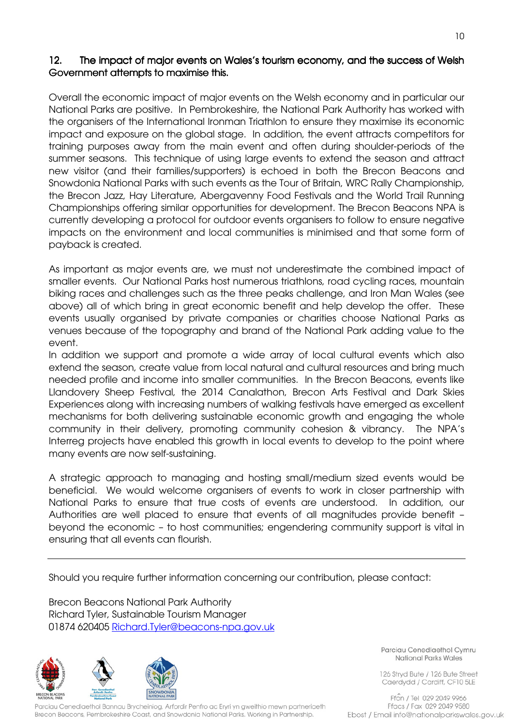# 12. The impact of major events on Wales's tourism economy, and the success of Welsh Government attempts to maximise this.

Overall the economic impact of major events on the Welsh economy and in particular our National Parks are positive. In Pembrokeshire, the National Park Authority has worked with the organisers of the International Ironman Triathlon to ensure they maximise its economic impact and exposure on the global stage. In addition, the event attracts competitors for training purposes away from the main event and often during shoulder-periods of the summer seasons. This technique of using large events to extend the season and attract new visitor (and their families/supporters) is echoed in both the Brecon Beacons and Snowdonia National Parks with such events as the Tour of Britain, WRC Rally Championship, the Brecon Jazz, Hay Literature, Abergavenny Food Festivals and the World Trail Running Championships offering similar opportunities for development. The Brecon Beacons NPA is currently developing a protocol for outdoor events organisers to follow to ensure negative impacts on the environment and local communities is minimised and that some form of payback is created.

As important as major events are, we must not underestimate the combined impact of smaller events. Our National Parks host numerous triathlons, road cycling races, mountain biking races and challenges such as the three peaks challenge, and Iron Man Wales (see above) all of which bring in great economic benefit and help develop the offer. These events usually organised by private companies or charities choose National Parks as venues because of the topography and brand of the National Park adding value to the event.

In addition we support and promote a wide array of local cultural events which also extend the season, create value from local natural and cultural resources and bring much needed profile and income into smaller communities. In the Brecon Beacons, events like Llandovery Sheep Festival, the 2014 Canalathon, Brecon Arts Festival and Dark Skies Experiences along with increasing numbers of walking festivals have emerged as excellent mechanisms for both delivering sustainable economic growth and engaging the whole community in their delivery, promoting community cohesion & vibrancy. The NPA's Interreg projects have enabled this growth in local events to develop to the point where many events are now self-sustaining.

A strategic approach to managing and hosting small/medium sized events would be beneficial. We would welcome organisers of events to work in closer partnership with National Parks to ensure that true costs of events are understood. In addition, our Authorities are well placed to ensure that events of all magnitudes provide benefit – beyond the economic – to host communities; engendering community support is vital in ensuring that all events can flourish.

Should you require further information concerning our contribution, please contact:

Brecon Beacons National Park Authority Richard Tyler, Sustainable Tourism Manager 01874 620405 Richard.Tyler@beacons-npa.gov.uk



Parciau Cenedlaethol Bannau Brycheiniog, Arfordir Penfro ac Eryri yn gweithio mewn partneriaeth Brecon Beacons, Pembrokeshire Coast, and Snowdonia National Parks, Working in Partnership.

Parciau Cenedlaethol Cymru **National Parks Wales** 

126 Stryd Bute / 126 Bute Street Caerdydd / Cardiff, CF10 5LE